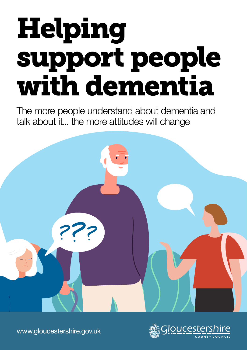# Helping support people with dementia

The more people understand about dementia and talk about it... the more attitudes will change





[www.gloucestershire.gov.uk](http://www.gloucestershire.gov.uk)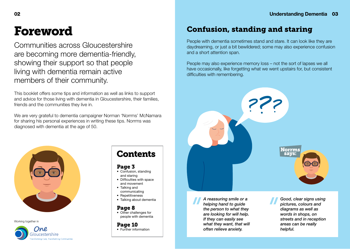## Foreword

Communities across Gloucestershire are becoming more dementia-friendly, showing their support so that people living with dementia remain active members of their community.

This booklet offers some tips and information as well as links to support and advice for those living with dementia in Gloucestershire, their families, friends and the communities they live in.

We are very grateful to dementia campaigner Norman 'Norrms' McNamara for sharing his personal experiences in writing these tips. Norrms was diagnosed with dementia at the age of 50.



Working together in



## **Contents**

#### Page 3

- Confusion, standing and staring
- Difficulties with space and movement
- Talking and communicating
- Repetitiveness
- Talking about dementia

#### Page 8

• Other challenges for people with dementia

#### Page 10

• Further information

*A reassuring smile or a helping hand to guide the person to what they are looking for will help. If they can easily see what they want, that will often relieve anxiety.*

*Good, clear signs using pictures, colours and diagrams as well as words in shops, on streets and in reception areas can be really helpful.*

**Norrms** savs:

### Confusion, standing and staring

People with dementia sometimes stand and stare. It can look like they are daydreaming, or just a bit bewildered; some may also experience confusion and a short attention span.

People may also experience memory loss – not the sort of lapses we all have occasionally, like forgetting what we went upstairs for, but consistent difficulties with remembering.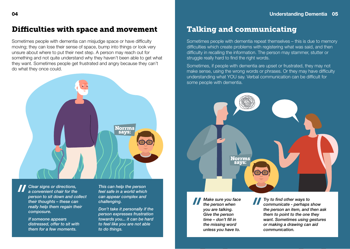#### Difficulties with space and movement

Sometimes people with dementia can misjudge space or have difficulty moving; they can lose their sense of space, bump into things or look very unsure about where to put their next step. A person may reach out for something and not quite understand why they haven't been able to get what they want. Sometimes people get frustrated and angry because they can't do what they once could.



*Clear signs or directions, a convenient chair for the person to sit down and collect their thoughts – these can really help them regain their composure.*

*If someone appears distressed, offer to sit with them for a few moments.* 

*This can help the person feel safe in a world which can appear complex and challenging.*

*Don't take it personally if the person expresses frustration towards you... it can be hard to feel like you are not able to do things.*

#### Talking and communicating

Sometimes people with dementia repeat themselves – this is due to memory difficulties which create problems with registering what was said, and then difficulty in recalling the information. The person may stammer, stutter or struggle really hard to find the right words.

Sometimes, if people with dementia are upset or frustrated, they may not make sense, using the wrong words or phrases. Or they may have difficulty understanding what YOU say. Verbal communication can be difficult for some people with dementia.



*Make sure you face the person when you are talking. Give the person time – don't fill in the missing word unless you have to.*

*Try to find other ways to communicate - perhaps show the person an item, and then ask them to point to the one they want. Sometimes using gestures or making a drawing can aid communication.*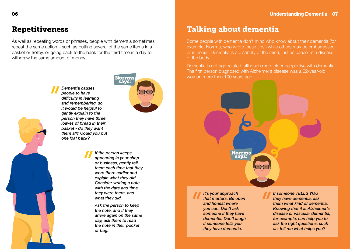### Repetitiveness

As well as repeating words or phrases, people with dementia sometimes repeat the same action – such as putting several of the same items in a basket or trolley, or going back to the bank for the third time in a day to withdraw the same amount of money.



*Dementia causes people to have difficulty in learning and remembering, so it would be helpful to gently explain to the person they have three loaves of bread in their basket - do they want them all? Could you put one loaf back?*



*If the person keeps appearing in your shop or business, gently tell them each time that they were there earlier and explain what they did. Consider writing a note with the date and time they were there, and what they did.*

*Ask the person to keep the note, and if they arrive again on the same day, ask them to read the note in their pocket or bag.*

#### Talking about dementia

Some people with dementia don't mind who know about their dementia (for example, Norrms, who wrote these tips!) while others may be embarrassed or in denial. Dementia is a disability of the mind, just as cancer is a disease of the body.

Dementia is not age-related, although more older people live with dementia. The first person diagnosed with Alzheimer's disease was a 52-year-old woman more than 100 years ago.

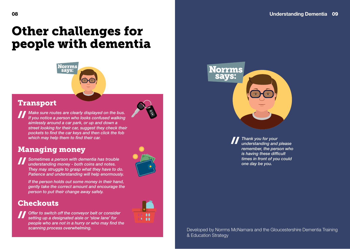## Other challenges for people with dementia



#### Transport



*Make sure routes are clearly displayed on the bus. If you notice a person who looks confused walking aimlessly around a car park, or up and down a street looking for their car, suggest they check their pockets to find the car keys and then click the fob which may help them to find their car.* 

### Managing money

*Sometimes a person with dementia has trouble understanding money - both coins and notes. They may struggle to grasp what they have to do. Patience and understanding will help enormously.*

*If the person holds out some money in their hand, gently take the correct amount and encourage the person to put their change away safely.*

### **Checkouts**

*Offer to switch off the conveyor belt or consider setting up a designated aisle or 'slow lane' for people who are not in a hurry or who may find the scanning process overwhelming.*





**Norrms**<br>says:

*Thank you for your understanding and please remember, the person who is having these difficult times in front of you could one day be you.* 

Developed by Norrms McNamara and the Gloucestershire Dementia Training & Education Strategy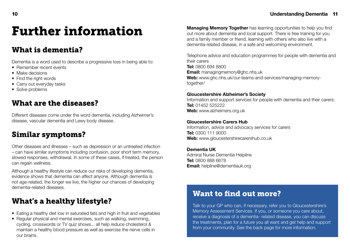## Further information

#### What is dementia?

Dementia is a word used to describe a progressive loss in being able to:

- Remember recent events
- Make decisions
- Find the right words
- Carry out everyday tasks
- Solve problems

### What are the diseases?

Different diseases come under the word dementia, including Alzheimer's disease, vascular dementia and Lewy body disease.

## Similar symptoms?

Other diseases and illnesses – such as depression or an untreated infection – can have similar symptoms including confusion, poor short term memory, slowed responses, withdrawal. In some of these cases, if treated, the person can regain wellness.

Although a healthy lifestyle can reduce our risks of developing dementia, evidence shows that dementia can affect anyone. Although dementia is not age-related, the longer we live, the higher our chances of developing dementia-related diseases.

## What's a healthy lifestyle?

- Eating a healthy diet low in saturated fats and high in fruit and vegetables
- Regular physical and mental exercises, such as walking, swimming, cycling, crosswords or TV quiz shows... all help reduce cholesterol & maintain a healthy blood pressure as well as exercise the nerve cells in our brains.

**Managing Memory Together** has learning opportunities to help you find out more about dementia and local support. There is free training for you and a family member or friend, learning with others who also live with a dementia-related disease, in a safe and welcoming environment.

Telephone advice and education programmes for people with dementia and their carers **Tel:** 0800 694 8800 **Email:** managingmemory@ghc.nhs.uk **Web:** www.ghc.nhs.uk/our-teams-and-services/managing-memorytogether/

#### **Gloucestershire Alzheimer's Society**

Information and support services for people with dementia and their carers: **Tel:** 01452 525222 **Web:** www.alzheimers.org.uk

#### **Gloucestershire Carers Hub**

Information, advice and advocacy services for carers **Tel:** 0300 111 9000 **Web:** www.gloucestershirecarershub.co.uk

#### **Dementia UK**

Admiral Nurse Dementia Helpline **Tel:** 0800 888 6678 **Email:** helpline@dementiauk.org

#### Want to find out more?

Talk to your GP who can, if necessary, refer you to Gloucestershire's Memory Assessment Services. If you, or someone you care about, receive a diagnosis of a dementia- related disease, you can discuss the treatments, plan for a future you all want and get help and support from your community. See the back page for more information.